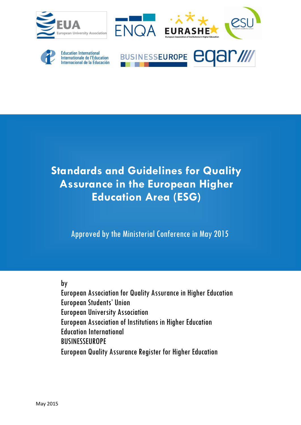





Education International<br>Internationale de l'Education nternacional de la Educación



# **Standards and Guidelines for Quality Assurance in the European Higher Education Area (ESG)**

Approved by the Ministerial Conference in May 2015

by

European Association for Quality Assurance in Higher Education European Students' Union European University Association European Association of Institutions in Higher Education **Education International BUSINESSEUROPE** European Quality Assurance Register for Higher Education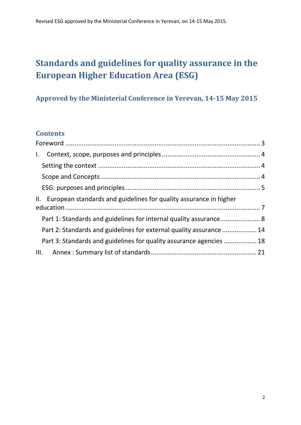# **Standards and guidelines for quality assurance in the European Higher Education Area (ESG)**

## **Approved by the Ministerial Conference in Yerevan, 14-15 May 2015**

## **Contents**

| $\mathbf{I}$ .                                                        |  |
|-----------------------------------------------------------------------|--|
|                                                                       |  |
|                                                                       |  |
|                                                                       |  |
| II. European standards and guidelines for quality assurance in higher |  |
| Part 1: Standards and guidelines for internal quality assurance 8     |  |
| Part 2: Standards and guidelines for external quality assurance 14    |  |
| Part 3: Standards and guidelines for quality assurance agencies  18   |  |
|                                                                       |  |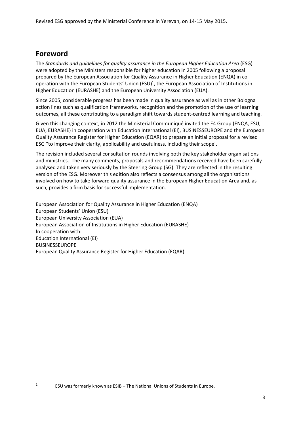## <span id="page-2-0"></span>**Foreword**

**.** 1

The *Standards and guidelines for quality assurance in the European Higher Education Area* (ESG) were adopted by the Ministers responsible for higher education in 2005 following a proposal prepared by the European Association for Quality Assurance in Higher Education (ENQA) in cooperation with the European Students' Union (ESU)<sup>1</sup>, the European Association of Institutions in Higher Education (EURASHE) and the European University Association (EUA).

Since 2005, considerable progress has been made in quality assurance as well as in other Bologna action lines such as qualification frameworks, recognition and the promotion of the use of learning outcomes, all these contributing to a paradigm shift towards student-centred learning and teaching.

Given this changing context, in 2012 the Ministerial Communiqué invited the E4 Group (ENQA, ESU, EUA, EURASHE) in cooperation with Education International (EI), BUSINESSEUROPE and the European Quality Assurance Register for Higher Education (EQAR) to prepare an initial proposal for a revised ESG "to improve their clarity, applicability and usefulness, including their scope'.

The revision included several consultation rounds involving both the key stakeholder organisations and ministries. The many comments, proposals and recommendations received have been carefully analysed and taken very seriously by the Steering Group (SG). They are reflected in the resulting version of the ESG. Moreover this edition also reflects a consensus among all the organisations involved on how to take forward quality assurance in the European Higher Education Area and, as such, provides a firm basis for successful implementation.

European Association for Quality Assurance in Higher Education (ENQA) European Students' Union (ESU) European University Association (EUA) European Association of Institutions in Higher Education (EURASHE) In cooperation with: Education International (EI) BUSINESSEUROPE European Quality Assurance Register for Higher Education (EQAR)

ESU was formerly known as ESIB – The National Unions of Students in Europe.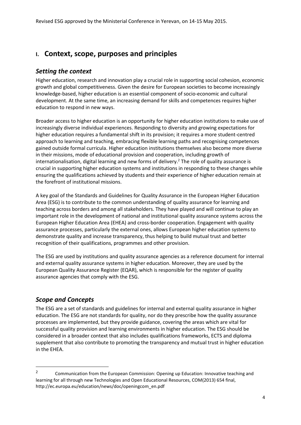## <span id="page-3-0"></span>**I. Context, scope, purposes and principles**

### <span id="page-3-1"></span>*Setting the context*

Higher education, research and innovation play a crucial role in supporting social cohesion, economic growth and global competitiveness. Given the desire for European societies to become increasingly knowledge-based, higher education is an essential component of socio-economic and cultural development. At the same time, an increasing demand for skills and competences requires higher education to respond in new ways.

Broader access to higher education is an opportunity for higher education institutions to make use of increasingly diverse individual experiences. Responding to diversity and growing expectations for higher education requires a fundamental shift in its provision; it requires a more student-centred approach to learning and teaching, embracing flexible learning paths and recognising competences gained outside formal curricula. Higher education institutions themselves also become more diverse in their missions, mode of educational provision and cooperation, including growth of internationalisation, digital learning and new forms of delivery.<sup>2</sup> The role of quality assurance is crucial in supporting higher education systems and institutions in responding to these changes while ensuring the qualifications achieved by students and their experience of higher education remain at the forefront of institutional missions.

A key goal of the Standards and Guidelines for Quality Assurance in the European Higher Education Area (ESG) is to contribute to the common understanding of quality assurance for learning and teaching across borders and among all stakeholders. They have played and will continue to play an important role in the development of national and institutional quality assurance systems across the European Higher Education Area (EHEA) and cross-border cooperation. Engagement with quality assurance processes, particularly the external ones, allows European higher education systems to demonstrate quality and increase transparency, thus helping to build mutual trust and better recognition of their qualifications, programmes and other provision.

The ESG are used by institutions and quality assurance agencies as a reference document for internal and external quality assurance systems in higher education. Moreover, they are used by the European Quality Assurance Register (EQAR), which is responsible for the register of quality assurance agencies that comply with the ESG.

## <span id="page-3-2"></span>*Scope and Concepts*

1

The ESG are a set of standards and guidelines for internal and external quality assurance in higher education. The ESG are not standards for quality, nor do they prescribe how the quality assurance processes are implemented, but they provide guidance, covering the areas which are vital for successful quality provision and learning environments in higher education. The ESG should be considered in a broader context that also includes qualifications frameworks, ECTS and diploma supplement that also contribute to promoting the transparency and mutual trust in higher education in the EHEA.

<sup>&</sup>lt;sup>2</sup> Communication from the European Commission: Opening up Education: Innovative teaching and learning for all through new Technologies and Open Educational Resources, COM(2013) 654 final, [http://ec.europa.eu/education/news/doc/openingcom\\_en.pdf](http://ec.europa.eu/education/news/doc/openingcom_en.pdf)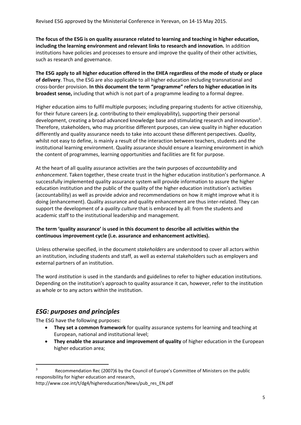**The focus of the ESG is on quality assurance related to learning and teaching in higher education, including the learning environment and relevant links to research and innovation.** In addition institutions have policies and processes to ensure and improve the quality of their other activities, such as research and governance.

**The ESG apply to all higher education offered in the EHEA regardless of the mode of study or place of delivery**. Thus, the ESG are also applicable to all higher education including transnational and cross-border provision. **In this document the term "programme" refers to higher education in its broadest sense,** including that which is not part of a programme leading to a formal degree.

Higher education aims to fulfil multiple purposes; including preparing students for active citizenship, for their future careers (e.g. contributing to their employability), supporting their personal development, creating a broad advanced knowledge base and stimulating research and innovation<sup>3</sup>. Therefore, stakeholders, who may prioritise different purposes, can view quality in higher education differently and quality assurance needs to take into account these different perspectives. *Quality*, whilst not easy to define, is mainly a result of the interaction between teachers, students and the institutional learning environment. Quality assurance should ensure a learning environment in which the content of programmes, learning opportunities and facilities are fit for purpose.

At the heart of all quality assurance activities are the twin purposes of *accountability* and *enhancement*. Taken together, these create trust in the higher education institution's performance. A successfully implemented quality assurance system will provide information to assure the higher education institution and the public of the quality of the higher education institution's activities (accountability) as well as provide advice and recommendations on how it might improve what it is doing (enhancement). Quality assurance and quality enhancement are thus inter-related. They can support the development of a *quality culture* that is embraced by all: from the students and academic staff to the institutional leadership and management.

#### **The term 'quality assurance' is used in this document to describe all activities within the continuous improvement cycle (i.e. assurance and enhancement activities).**

Unless otherwise specified, in the document *stakeholders* are understood to cover all actors within an institution, including students and staff, as well as external stakeholders such as employers and external partners of an institution.

The word *institution* is used in the standards and guidelines to refer to higher education institutions. Depending on the institution's approach to quality assurance it can, however, refer to the institution as whole or to any actors within the institution.

## <span id="page-4-0"></span>*ESG: purposes and principles*

The ESG have the following purposes:

 $\overline{\phantom{a}}$ 

- **They set a common framework** for quality assurance systems for learning and teaching at European, national and institutional level;
- **•** They enable the assurance and improvement of quality of higher education in the European higher education area;

[http://www.coe.int/t/dg4/highereducation/News/pub\\_res\\_EN.pdf](http://www.coe.int/t/dg4/highereducation/news/pub_res_en.pdf)

<sup>&</sup>lt;sup>3</sup> Recommendation Rec (2007)6 by the Council of Europe's Committee of Ministers on the public responsibility for higher education and research,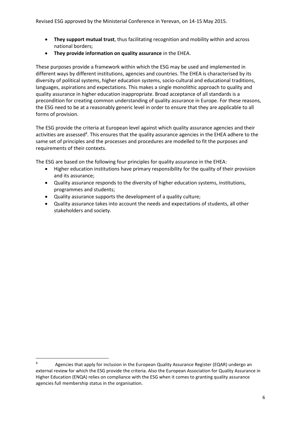- **They support mutual trust**, thus facilitating recognition and mobility within and across national borders;
- **They provide information on quality assurance** in the EHEA.

These purposes provide a framework within which the ESG may be used and implemented in different ways by different institutions, agencies and countries. The EHEA is characterised by its diversity of political systems, higher education systems, socio-cultural and educational traditions, languages, aspirations and expectations. This makes a single monolithic approach to quality and quality assurance in higher education inappropriate. Broad acceptance of all standards is a precondition for creating common understanding of quality assurance in Europe. For these reasons, the ESG need to be at a reasonably generic level in order to ensure that they are applicable to all forms of provision.

The ESG provide the criteria at European level against which quality assurance agencies and their activities are assessed<sup>4</sup>. This ensures that the quality assurance agencies in the EHEA adhere to the same set of principles and the processes and procedures are modelled to fit the purposes and requirements of their contexts.

The ESG are based on the following four principles for quality assurance in the EHEA:

- Higher education institutions have primary responsibility for the quality of their provision and its assurance;
- Quality assurance responds to the diversity of higher education systems, institutions, programmes and students;
- Quality assurance supports the development of a quality culture;
- Quality assurance takes into account the needs and expectations of students, all other stakeholders and society.

**.** 

<sup>4</sup> Agencies that apply for inclusion in the European Quality Assurance Register (EQAR) undergo an external review for which the ESG provide the criteria. Also the European Association for Quality Assurance in Higher Education (ENQA) relies on compliance with the ESG when it comes to granting quality assurance agencies full membership status in the organisation.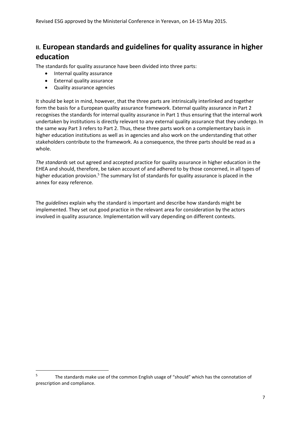## <span id="page-6-0"></span>**II. European standards and guidelines for quality assurance in higher education**

The standards for quality assurance have been divided into three parts:

- Internal quality assurance
- External quality assurance
- Quality assurance agencies

**.** 

It should be kept in mind, however, that the three parts are intrinsically interlinked and together form the basis for a European quality assurance framework. External quality assurance in Part 2 recognises the standards for internal quality assurance in Part 1 thus ensuring that the internal work undertaken by institutions is directly relevant to any external quality assurance that they undergo. In the same way Part 3 refers to Part 2. Thus, these three parts work on a complementary basis in higher education institutions as well as in agencies and also work on the understanding that other stakeholders contribute to the framework. As a consequence, the three parts should be read as a whole.

*The standards* set out agreed and accepted practice for quality assurance in higher education in the EHEA and should, therefore, be taken account of and adhered to by those concerned, in all types of higher education provision.<sup>5</sup> The summary list of standards for quality assurance is placed in the annex for easy reference.

The *guidelines* explain why the standard is important and describe how standards might be implemented. They set out good practice in the relevant area for consideration by the actors involved in quality assurance. Implementation will vary depending on different contexts.

<sup>5</sup> The standards make use of the common English usage of "should" which has the connotation of prescription and compliance.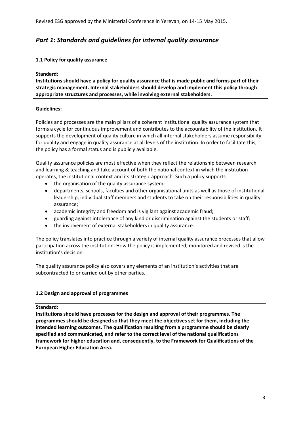### <span id="page-7-0"></span>*Part 1: Standards and guidelines for internal quality assurance*

#### **1.1 Policy for quality assurance**

#### **Standard:**

**Institutions should have a policy for quality assurance that is made public and forms part of their strategic management. Internal stakeholders should develop and implement this policy through appropriate structures and processes, while involving external stakeholders.**

#### **Guidelines:**

Policies and processes are the main pillars of a coherent institutional quality assurance system that forms a cycle for continuous improvement and contributes to the accountability of the institution. It supports the development of quality culture in which all internal stakeholders assume responsibility for quality and engage in quality assurance at all levels of the institution. In order to facilitate this, the policy has a formal status and is publicly available.

Quality assurance policies are most effective when they reflect the relationship between research and learning & teaching and take account of both the national context in which the institution operates, the institutional context and its strategic approach. Such a policy supports

- the organisation of the quality assurance system;
- departments, schools, faculties and other organisational units as well as those of institutional leadership, individual staff members and students to take on their responsibilities in quality assurance;
- academic integrity and freedom and is vigilant against academic fraud;
- guarding against intolerance of any kind or discrimination against the students or staff;
- the involvement of external stakeholders in quality assurance.

The policy translates into practice through a variety of internal quality assurance processes that allow participation across the institution. How the policy is implemented, monitored and revised is the institution's decision.

The quality assurance policy also covers any elements of an institution's activities that are subcontracted to or carried out by other parties.

#### **1.2 Design and approval of programmes**

#### **Standard:**

**Institutions should have processes for the design and approval of their programmes. The programmes should be designed so that they meet the objectives set for them, including the intended learning outcomes. The qualification resulting from a programme should be clearly specified and communicated, and refer to the correct level of the national qualifications framework for higher education and, consequently, to the Framework for Qualifications of the European Higher Education Area.**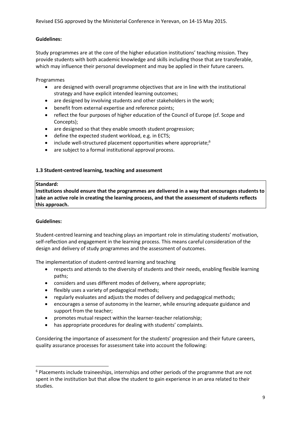#### **Guidelines:**

Study programmes are at the core of the higher education institutions' teaching mission. They provide students with both academic knowledge and skills including those that are transferable, which may influence their personal development and may be applied in their future careers.

Programmes

- are designed with overall programme objectives that are in line with the institutional strategy and have explicit intended learning outcomes;
- are designed by involving students and other stakeholders in the work;
- benefit from external expertise and reference points;
- reflect the four purposes of higher education of the Council of Europe (cf. Scope and Concepts);
- are designed so that they enable smooth student progression;
- define the expected student workload, e.g. in ECTS;
- include well-structured placement opportunities where appropriate:<sup>6</sup>
- are subject to a formal institutional approval process.

#### **1.3 Student-centred learning, teaching and assessment**

#### **Standard:**

**Institutions should ensure that the programmes are delivered in a way that encourages students to take an active role in creating the learning process, and that the assessment of students reflects this approach.**

#### **Guidelines:**

**.** 

Student-centred learning and teaching plays an important role in stimulating students' motivation, self-reflection and engagement in the learning process. This means careful consideration of the design and delivery of study programmes and the assessment of outcomes.

The implementation of student-centred learning and teaching

- respects and attends to the diversity of students and their needs, enabling flexible learning paths;
- considers and uses different modes of delivery, where appropriate;
- flexibly uses a variety of pedagogical methods;
- regularly evaluates and adjusts the modes of delivery and pedagogical methods;
- encourages a sense of autonomy in the learner, while ensuring adequate guidance and support from the teacher;
- promotes mutual respect within the learner-teacher relationship;
- has appropriate procedures for dealing with students' complaints.

Considering the importance of assessment for the students' progression and their future careers, quality assurance processes for assessment take into account the following:

 $6$  Placements include traineeships, internships and other periods of the programme that are not spent in the institution but that allow the student to gain experience in an area related to their studies.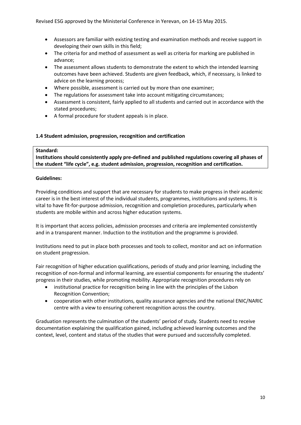- Assessors are familiar with existing testing and examination methods and receive support in developing their own skills in this field;
- The criteria for and method of assessment as well as criteria for marking are published in advance;
- The assessment allows students to demonstrate the extent to which the intended learning outcomes have been achieved. Students are given feedback, which, if necessary, is linked to advice on the learning process;
- Where possible, assessment is carried out by more than one examiner;
- The regulations for assessment take into account mitigating circumstances;
- Assessment is consistent, fairly applied to all students and carried out in accordance with the stated procedures;
- A formal procedure for student appeals is in place.

#### **1.4 Student admission, progression, recognition and certification**

#### **Standard:**

**Institutions should consistently apply pre-defined and published regulations covering all phases of the student "life cycle", e.g. student admission, progression, recognition and certification.** 

#### **Guidelines:**

Providing conditions and support that are necessary for students to make progress in their academic career is in the best interest of the individual students, programmes, institutions and systems. It is vital to have fit-for-purpose admission, recognition and completion procedures, particularly when students are mobile within and across higher education systems.

It is important that access policies, admission processes and criteria are implemented consistently and in a transparent manner. Induction to the institution and the programme is provided.

Institutions need to put in place both processes and tools to collect, monitor and act on information on student progression.

Fair recognition of higher education qualifications, periods of study and prior learning, including the recognition of non-formal and informal learning, are essential components for ensuring the students' progress in their studies, while promoting mobility. Appropriate recognition procedures rely on

- institutional practice for recognition being in line with the principles of the Lisbon Recognition Convention;
- cooperation with other institutions, quality assurance agencies and the national ENIC/NARIC centre with a view to ensuring coherent recognition across the country.

Graduation represents the culmination of the students' period of study. Students need to receive documentation explaining the qualification gained, including achieved learning outcomes and the context, level, content and status of the studies that were pursued and successfully completed.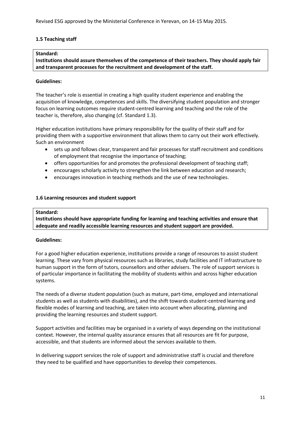#### **1.5 Teaching staff**

#### **Standard:**

**Institutions should assure themselves of the competence of their teachers. They should apply fair and transparent processes for the recruitment and development of the staff.**

#### **Guidelines:**

The teacher's role is essential in creating a high quality student experience and enabling the acquisition of knowledge, competences and skills. The diversifying student population and stronger focus on learning outcomes require student-centred learning and teaching and the role of the teacher is, therefore, also changing (cf. Standard 1.3).

Higher education institutions have primary responsibility for the quality of their staff and for providing them with a supportive environment that allows them to carry out their work effectively. Such an environment

- sets up and follows clear, transparent and fair processes for staff recruitment and conditions of employment that recognise the importance of teaching;
- offers opportunities for and promotes the professional development of teaching staff;
- encourages scholarly activity to strengthen the link between education and research;
- encourages innovation in teaching methods and the use of new technologies.

#### **1.6 Learning resources and student support**

#### **Standard:**

**Institutions should have appropriate funding for learning and teaching activities and ensure that adequate and readily accessible learning resources and student support are provided.** 

#### **Guidelines:**

For a good higher education experience, institutions provide a range of resources to assist student learning. These vary from physical resources such as libraries, study facilities and IT infrastructure to human support in the form of tutors, counsellors and other advisers. The role of support services is of particular importance in facilitating the mobility of students within and across higher education systems.

The needs of a diverse student population (such as mature, part-time, employed and international students as well as students with disabilities), and the shift towards student-centred learning and flexible modes of learning and teaching, are taken into account when allocating, planning and providing the learning resources and student support.

Support activities and facilities may be organised in a variety of ways depending on the institutional context. However, the internal quality assurance ensures that all resources are fit for purpose, accessible, and that students are informed about the services available to them.

In delivering support services the role of support and administrative staff is crucial and therefore they need to be qualified and have opportunities to develop their competences.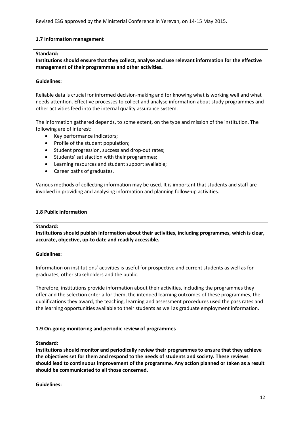#### **1.7 Information management**

#### **Standard:**

**Institutions should ensure that they collect, analyse and use relevant information for the effective management of their programmes and other activities.**

#### **Guidelines:**

Reliable data is crucial for informed decision-making and for knowing what is working well and what needs attention. Effective processes to collect and analyse information about study programmes and other activities feed into the internal quality assurance system.

The information gathered depends, to some extent, on the type and mission of the institution. The following are of interest:

- Key performance indicators;
- Profile of the student population;
- Student progression, success and drop-out rates;
- Students' satisfaction with their programmes;
- Learning resources and student support available;
- Career paths of graduates.

Various methods of collecting information may be used. It is important that students and staff are involved in providing and analysing information and planning follow-up activities.

#### **1.8 Public information**

#### **Standard:**

**Institutions should publish information about their activities, including programmes, which is clear, accurate, objective, up-to date and readily accessible.** 

#### **Guidelines:**

Information on institutions' activities is useful for prospective and current students as well as for graduates, other stakeholders and the public.

Therefore, institutions provide information about their activities, including the programmes they offer and the selection criteria for them, the intended learning outcomes of these programmes, the qualifications they award, the teaching, learning and assessment procedures used the pass rates and the learning opportunities available to their students as well as graduate employment information.

#### **1.9 On-going monitoring and periodic review of programmes**

#### **Standard:**

**Institutions should monitor and periodically review their programmes to ensure that they achieve the objectives set for them and respond to the needs of students and society. These reviews should lead to continuous improvement of the programme. Any action planned or taken as a result should be communicated to all those concerned.**

**Guidelines:**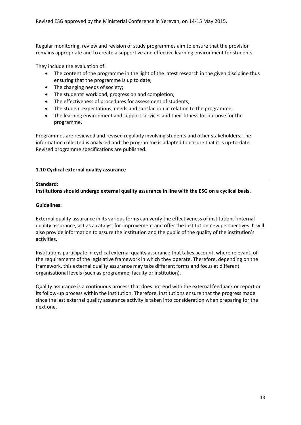Regular monitoring, review and revision of study programmes aim to ensure that the provision remains appropriate and to create a supportive and effective learning environment for students.

They include the evaluation of:

- The content of the programme in the light of the latest research in the given discipline thus ensuring that the programme is up to date;
- The changing needs of society;
- The students' workload, progression and completion;
- The effectiveness of procedures for assessment of students;
- The student expectations, needs and satisfaction in relation to the programme;
- The learning environment and support services and their fitness for purpose for the programme.

Programmes are reviewed and revised regularly involving students and other stakeholders. The information collected is analysed and the programme is adapted to ensure that it is up-to-date. Revised programme specifications are published.

#### **1.10 Cyclical external quality assurance**

#### **Standard:**

**Institutions should undergo external quality assurance in line with the ESG on a cyclical basis.**

#### **Guidelines:**

External quality assurance in its various forms can verify the effectiveness of institutions' internal quality assurance, act as a catalyst for improvement and offer the institution new perspectives. It will also provide information to assure the institution and the public of the quality of the institution's activities.

Institutions participate in cyclical external quality assurance that takes account, where relevant, of the requirements of the legislative framework in which they operate. Therefore, depending on the framework, this external quality assurance may take different forms and focus at different organisational levels (such as programme, faculty or institution).

Quality assurance is a continuous process that does not end with the external feedback or report or its follow-up process within the institution. Therefore, institutions ensure that the progress made since the last external quality assurance activity is taken into consideration when preparing for the next one.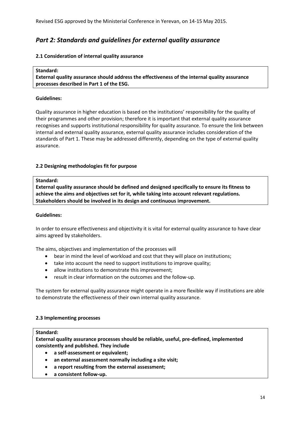## <span id="page-13-0"></span>*Part 2: Standards and guidelines for external quality assurance*

#### **2.1 Consideration of internal quality assurance**

#### **Standard:**

**External quality assurance should address the effectiveness of the internal quality assurance processes described in Part 1 of the ESG.**

#### **Guidelines:**

Quality assurance in higher education is based on the institutions' responsibility for the quality of their programmes and other provision; therefore it is important that external quality assurance recognises and supports institutional responsibility for quality assurance. To ensure the link between internal and external quality assurance, external quality assurance includes consideration of the standards of Part 1. These may be addressed differently, depending on the type of external quality assurance.

#### **2.2 Designing methodologies fit for purpose**

#### **Standard:**

**External quality assurance should be defined and designed specifically to ensure its fitness to achieve the aims and objectives set for it, while taking into account relevant regulations. Stakeholders should be involved in its design and continuous improvement.** 

#### **Guidelines:**

In order to ensure effectiveness and objectivity it is vital for external quality assurance to have clear aims agreed by stakeholders.

The aims, objectives and implementation of the processes will

- bear in mind the level of workload and cost that they will place on institutions;
- take into account the need to support institutions to improve quality;
- allow institutions to demonstrate this improvement;
- result in clear information on the outcomes and the follow-up.

The system for external quality assurance might operate in a more flexible way if institutions are able to demonstrate the effectiveness of their own internal quality assurance.

#### **2.3 Implementing processes**

#### **Standard:**

**External quality assurance processes should be reliable, useful, pre-defined, implemented consistently and published. They include** 

- **a self-assessment or equivalent;**
- **an external assessment normally including a site visit;**
- **a report resulting from the external assessment;**
- **a consistent follow-up.**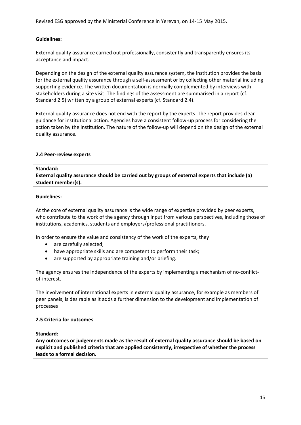#### **Guidelines:**

External quality assurance carried out professionally, consistently and transparently ensures its acceptance and impact.

Depending on the design of the external quality assurance system, the institution provides the basis for the external quality assurance through a self-assessment or by collecting other material including supporting evidence. The written documentation is normally complemented by interviews with stakeholders during a site visit. The findings of the assessment are summarised in a report (cf. Standard 2.5) written by a group of external experts (cf. Standard 2.4).

External quality assurance does not end with the report by the experts. The report provides clear guidance for institutional action. Agencies have a consistent follow-up process for considering the action taken by the institution. The nature of the follow-up will depend on the design of the external quality assurance.

#### **2.4 Peer-review experts**

#### **Standard:**

**External quality assurance should be carried out by groups of external experts that include (a) student member(s).**

#### **Guidelines:**

At the core of external quality assurance is the wide range of expertise provided by peer experts, who contribute to the work of the agency through input from various perspectives, including those of institutions, academics, students and employers/professional practitioners.

In order to ensure the value and consistency of the work of the experts, they

- are carefully selected;
- have appropriate skills and are competent to perform their task;
- are supported by appropriate training and/or briefing.

The agency ensures the independence of the experts by implementing a mechanism of no-conflictof-interest.

The involvement of international experts in external quality assurance, for example as members of peer panels, is desirable as it adds a further dimension to the development and implementation of processes

#### **2.5 Criteria for outcomes**

#### **Standard:**

**Any outcomes or judgements made as the result of external quality assurance should be based on explicit and published criteria that are applied consistently, irrespective of whether the process leads to a formal decision.**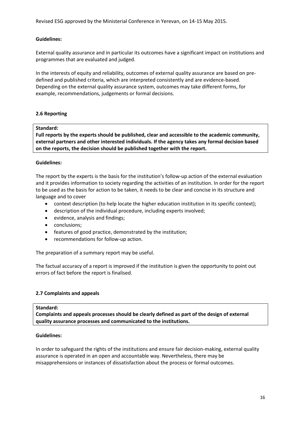#### **Guidelines:**

External quality assurance and in particular its outcomes have a significant impact on institutions and programmes that are evaluated and judged.

In the interests of equity and reliability, outcomes of external quality assurance are based on predefined and published criteria, which are interpreted consistently and are evidence-based. Depending on the external quality assurance system, outcomes may take different forms, for example, recommendations, judgements or formal decisions.

#### **2.6 Reporting**

#### **Standard:**

**Full reports by the experts should be published, clear and accessible to the academic community, external partners and other interested individuals. If the agency takes any formal decision based on the reports, the decision should be published together with the report.**

#### **Guidelines:**

The report by the experts is the basis for the institution's follow-up action of the external evaluation and it provides information to society regarding the activities of an institution. In order for the report to be used as the basis for action to be taken, it needs to be clear and concise in its structure and language and to cover

- context description (to help locate the higher education institution in its specific context);
- description of the individual procedure, including experts involved;
- evidence, analysis and findings;
- conclusions;
- features of good practice, demonstrated by the institution;
- recommendations for follow-up action.

The preparation of a summary report may be useful.

The factual accuracy of a report is improved if the institution is given the opportunity to point out errors of fact before the report is finalised.

#### **2.7 Complaints and appeals**

#### **Standard:**

**Complaints and appeals processes should be clearly defined as part of the design of external quality assurance processes and communicated to the institutions.**

#### **Guidelines:**

In order to safeguard the rights of the institutions and ensure fair decision-making, external quality assurance is operated in an open and accountable way. Nevertheless, there may be misapprehensions or instances of dissatisfaction about the process or formal outcomes.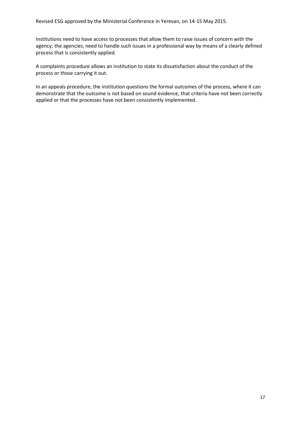Institutions need to have access to processes that allow them to raise issues of concern with the agency; the agencies, need to handle such issues in a professional way by means of a clearly defined process that is consistently applied.

A complaints procedure allows an institution to state its dissatisfaction about the conduct of the process or those carrying it out.

In an appeals procedure, the institution questions the formal outcomes of the process, where it can demonstrate that the outcome is not based on sound evidence, that criteria have not been correctly applied or that the processes have not been consistently implemented.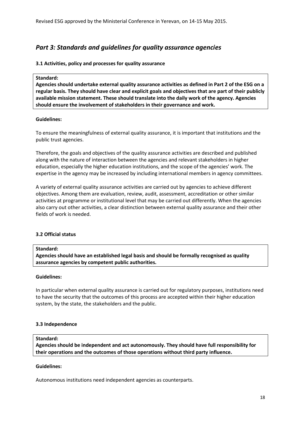## <span id="page-17-0"></span>*Part 3: Standards and guidelines for quality assurance agencies*

#### **3.1 Activities, policy and processes for quality assurance**

#### **Standard:**

**Agencies should undertake external quality assurance activities as defined in Part 2 of the ESG on a regular basis. They should have clear and explicit goals and objectives that are part of their publicly available mission statement. These should translate into the daily work of the agency. Agencies should ensure the involvement of stakeholders in their governance and work.**

#### **Guidelines:**

To ensure the meaningfulness of external quality assurance, it is important that institutions and the public trust agencies.

Therefore, the goals and objectives of the quality assurance activities are described and published along with the nature of interaction between the agencies and relevant stakeholders in higher education, especially the higher education institutions, and the scope of the agencies' work. The expertise in the agency may be increased by including international members in agency committees.

A variety of external quality assurance activities are carried out by agencies to achieve different objectives. Among them are evaluation, review, audit, assessment, accreditation or other similar activities at programme or institutional level that may be carried out differently. When the agencies also carry out other activities, a clear distinction between external quality assurance and their other fields of work is needed.

#### **3.2 Official status**

#### **Standard:**

**Agencies should have an established legal basis and should be formally recognised as quality assurance agencies by competent public authorities.** 

#### **Guidelines:**

In particular when external quality assurance is carried out for regulatory purposes, institutions need to have the security that the outcomes of this process are accepted within their higher education system, by the state, the stakeholders and the public.

#### **3.3 Independence**

#### **Standard:**

**Agencies should be independent and act autonomously. They should have full responsibility for their operations and the outcomes of those operations without third party influence.** 

#### **Guidelines:**

Autonomous institutions need independent agencies as counterparts.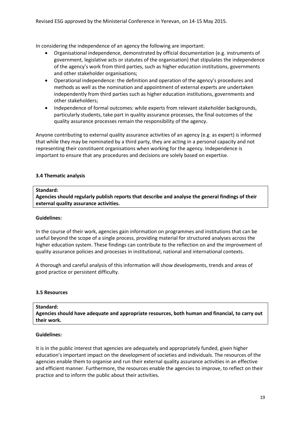In considering the independence of an agency the following are important:

- Organisational independence, demonstrated by official documentation (e.g. instruments of government, legislative acts or statutes of the organisation) that stipulates the independence of the agency's work from third parties, such as higher education institutions, governments and other stakeholder organisations;
- Operational independence: the definition and operation of the agency's procedures and methods as well as the nomination and appointment of external experts are undertaken independently from third parties such as higher education institutions, governments and other stakeholders;
- Independence of formal outcomes: while experts from relevant stakeholder backgrounds, particularly students, take part in quality assurance processes, the final outcomes of the quality assurance processes remain the responsibility of the agency.

Anyone contributing to external quality assurance activities of an agency (e.g. as expert) is informed that while they may be nominated by a third party, they are acting in a personal capacity and not representing their constituent organisations when working for the agency. Independence is important to ensure that any procedures and decisions are solely based on expertise.

#### **3.4 Thematic analysis**

#### **Standard:**

**Agencies should regularly publish reports that describe and analyse the general findings of their external quality assurance activities.** 

#### **Guidelines:**

In the course of their work, agencies gain information on programmes and institutions that can be useful beyond the scope of a single process, providing material for structured analyses across the higher education system. These findings can contribute to the reflection on and the improvement of quality assurance policies and processes in institutional, national and international contexts.

A thorough and careful analysis of this information will show developments, trends and areas of good practice or persistent difficulty.

#### **3.5 Resources**

#### **Standard:**

**Agencies should have adequate and appropriate resources, both human and financial, to carry out their work.**

#### **Guidelines:**

It is in the public interest that agencies are adequately and appropriately funded, given higher education's important impact on the development of societies and individuals. The resources of the agencies enable them to organise and run their external quality assurance activities in an effective and efficient manner. Furthermore, the resources enable the agencies to improve, to reflect on their practice and to inform the public about their activities.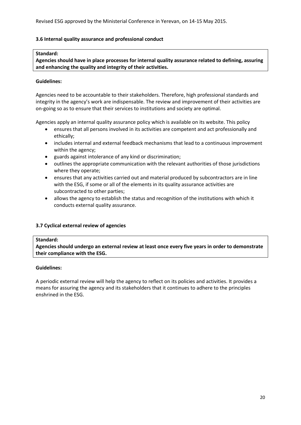#### **3.6 Internal quality assurance and professional conduct**

#### **Standard:**

**Agencies should have in place processes for internal quality assurance related to defining, assuring and enhancing the quality and integrity of their activities.**

#### **Guidelines:**

Agencies need to be accountable to their stakeholders. Therefore, high professional standards and integrity in the agency's work are indispensable. The review and improvement of their activities are on-going so as to ensure that their services to institutions and society are optimal.

Agencies apply an internal quality assurance policy which is available on its website. This policy

- ensures that all persons involved in its activities are competent and act professionally and ethically;
- includes internal and external feedback mechanisms that lead to a continuous improvement within the agency;
- guards against intolerance of any kind or discrimination;
- outlines the appropriate communication with the relevant authorities of those jurisdictions where they operate;
- ensures that any activities carried out and material produced by subcontractors are in line with the ESG, if some or all of the elements in its quality assurance activities are subcontracted to other parties;
- allows the agency to establish the status and recognition of the institutions with which it conducts external quality assurance.

#### **3.7 Cyclical external review of agencies**

#### **Standard:**

**Agencies should undergo an external review at least once every five years in order to demonstrate their compliance with the ESG.** 

#### **Guidelines:**

A periodic external review will help the agency to reflect on its policies and activities. It provides a means for assuring the agency and its stakeholders that it continues to adhere to the principles enshrined in the ESG.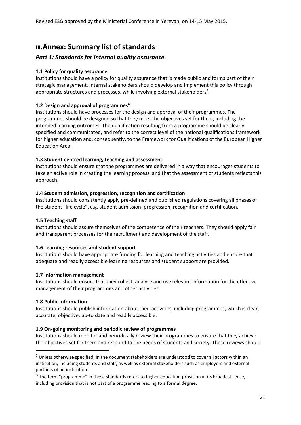## <span id="page-20-0"></span>**III.Annex: Summary list of standards**

### *Part 1: Standards for internal quality assurance*

#### **1.1 Policy for quality assurance**

Institutions should have a policy for quality assurance that is made public and forms part of their strategic management. Internal stakeholders should develop and implement this policy through appropriate structures and processes, while involving external stakeholders<sup>7</sup>.

#### **1.2 Design and approval of programmes<sup>8</sup>**

Institutions should have processes for the design and approval of their programmes. The programmes should be designed so that they meet the objectives set for them, including the intended learning outcomes. The qualification resulting from a programme should be clearly specified and communicated, and refer to the correct level of the national qualifications framework for higher education and, consequently, to the Framework for Qualifications of the European Higher Education Area.

#### **1.3 Student-centred learning, teaching and assessment**

Institutions should ensure that the programmes are delivered in a way that encourages students to take an active role in creating the learning process, and that the assessment of students reflects this approach.

#### **1.4 Student admission, progression, recognition and certification**

Institutions should consistently apply pre-defined and published regulations covering all phases of the student "life cycle", e.g. student admission, progression, recognition and certification.

#### **1.5 Teaching staff**

Institutions should assure themselves of the competence of their teachers. They should apply fair and transparent processes for the recruitment and development of the staff.

#### **1.6 Learning resources and student support**

Institutions should have appropriate funding for learning and teaching activities and ensure that adequate and readily accessible learning resources and student support are provided.

#### **1.7 Information management**

Institutions should ensure that they collect, analyse and use relevant information for the effective management of their programmes and other activities.

#### **1.8 Public information**

**.** 

Institutions should publish information about their activities, including programmes, which is clear, accurate, objective, up-to date and readily accessible.

#### **1.9 On-going monitoring and periodic review of programmes**

Institutions should monitor and periodically review their programmes to ensure that they achieve the objectives set for them and respond to the needs of students and society. These reviews should

 $<sup>7</sup>$  Unless otherwise specified, in the document stakeholders are understood to cover all actors within an</sup> institution, including students and staff, as well as external stakeholders such as employers and external partners of an institution.

 $8$  The term "programme" in these standards refers to higher education provision in its broadest sense, including provision that is not part of a programme leading to a formal degree.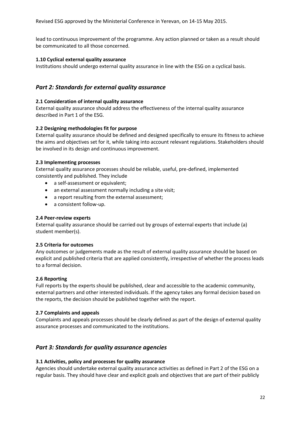lead to continuous improvement of the programme. Any action planned or taken as a result should be communicated to all those concerned.

#### **1.10 Cyclical external quality assurance**

Institutions should undergo external quality assurance in line with the ESG on a cyclical basis.

#### *Part 2: Standards for external quality assurance*

#### **2.1 Consideration of internal quality assurance**

External quality assurance should address the effectiveness of the internal quality assurance described in Part 1 of the ESG.

#### **2.2 Designing methodologies fit for purpose**

External quality assurance should be defined and designed specifically to ensure its fitness to achieve the aims and objectives set for it, while taking into account relevant regulations. Stakeholders should be involved in its design and continuous improvement.

#### **2.3 Implementing processes**

External quality assurance processes should be reliable, useful, pre-defined, implemented consistently and published. They include

- a self-assessment or equivalent;
- an external assessment normally including a site visit;
- a report resulting from the external assessment;
- a consistent follow-up.

#### **2.4 Peer-review experts**

External quality assurance should be carried out by groups of external experts that include (a) student member(s).

#### **2.5 Criteria for outcomes**

Any outcomes or judgements made as the result of external quality assurance should be based on explicit and published criteria that are applied consistently, irrespective of whether the process leads to a formal decision.

#### **2.6 Reporting**

Full reports by the experts should be published, clear and accessible to the academic community, external partners and other interested individuals. If the agency takes any formal decision based on the reports, the decision should be published together with the report.

#### **2.7 Complaints and appeals**

Complaints and appeals processes should be clearly defined as part of the design of external quality assurance processes and communicated to the institutions.

#### *Part 3: Standards for quality assurance agencies*

#### **3.1 Activities, policy and processes for quality assurance**

Agencies should undertake external quality assurance activities as defined in Part 2 of the ESG on a regular basis. They should have clear and explicit goals and objectives that are part of their publicly